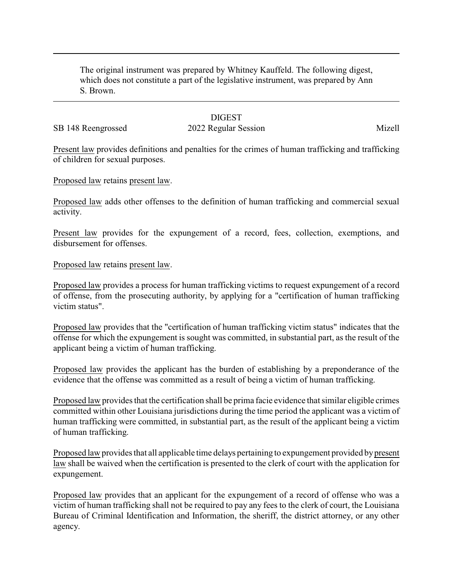The original instrument was prepared by Whitney Kauffeld. The following digest, which does not constitute a part of the legislative instrument, was prepared by Ann S. Brown.

## **DIGEST**

# SB 148 Reengrossed 2022 Regular Session Mizell

Present law provides definitions and penalties for the crimes of human trafficking and trafficking of children for sexual purposes.

Proposed law retains present law.

Proposed law adds other offenses to the definition of human trafficking and commercial sexual activity.

Present law provides for the expungement of a record, fees, collection, exemptions, and disbursement for offenses.

#### Proposed law retains present law.

Proposed law provides a process for human trafficking victims to request expungement of a record of offense, from the prosecuting authority, by applying for a "certification of human trafficking victim status".

Proposed law provides that the "certification of human trafficking victim status" indicates that the offense for which the expungement is sought was committed, in substantial part, as the result of the applicant being a victim of human trafficking.

Proposed law provides the applicant has the burden of establishing by a preponderance of the evidence that the offense was committed as a result of being a victim of human trafficking.

Proposed law provides that the certification shall be prima facie evidence that similar eligible crimes committed within other Louisiana jurisdictions during the time period the applicant was a victim of human trafficking were committed, in substantial part, as the result of the applicant being a victim of human trafficking.

Proposed law provides that all applicable time delays pertaining to expungement provided bypresent law shall be waived when the certification is presented to the clerk of court with the application for expungement.

Proposed law provides that an applicant for the expungement of a record of offense who was a victim of human trafficking shall not be required to pay any fees to the clerk of court, the Louisiana Bureau of Criminal Identification and Information, the sheriff, the district attorney, or any other agency.